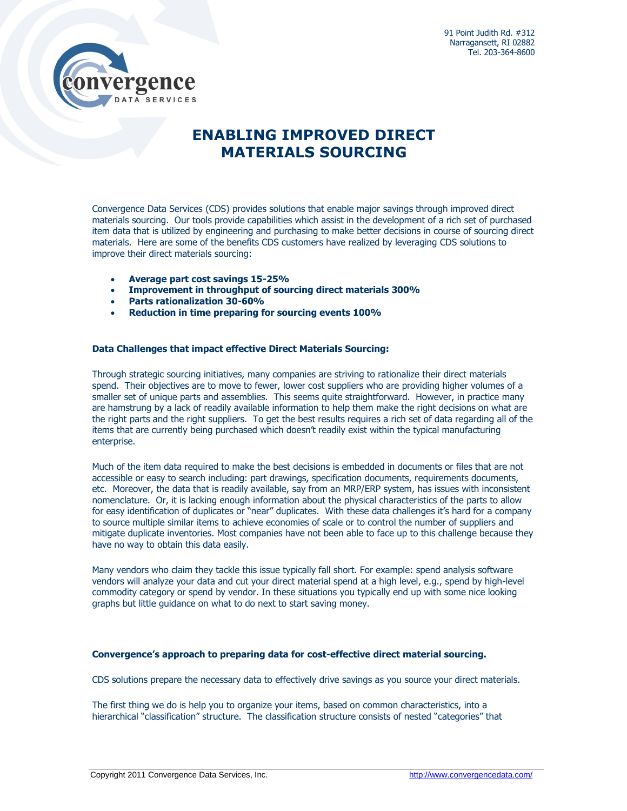

## **ENABLING IMPROVED DIRECT MATERIALS SOURCING**

Convergence Data Services (CDS) provides solutions that enable major savings through improved direct materials sourcing. Our tools provide capabilities which assist in the development of a rich set of purchased item data that is utilized by engineering and purchasing to make better decisions in course of sourcing direct materials. Here are some of the benefits CDS customers have realized by leveraging CDS solutions to improve their direct materials sourcing:

- **Average part cost savings 15-25%**
- **Improvement in throughput of sourcing direct materials 300%**
- **Parts rationalization 30-60%**
- **Reduction in time preparing for sourcing events 100%**

## **Data Challenges that impact effective Direct Materials Sourcing:**

Through strategic sourcing initiatives, many companies are striving to rationalize their direct materials spend. Their objectives are to move to fewer, lower cost suppliers who are providing higher volumes of a smaller set of unique parts and assemblies. This seems quite straightforward. However, in practice many are hamstrung by a lack of readily available information to help them make the right decisions on what are the right parts and the right suppliers. To get the best results requires a rich set of data regarding all of the items that are currently being purchased which doesn't readily exist within the typical manufacturing enterprise.

Much of the item data required to make the best decisions is embedded in documents or files that are not accessible or easy to search including: part drawings, specification documents, requirements documents, etc. Moreover, the data that is readily available, say from an MRP/ERP system, has issues with inconsistent nomenclature. Or, it is lacking enough information about the physical characteristics of the parts to allow for easy identification of duplicates or "near" duplicates. With these data challenges it's hard for a company to source multiple similar items to achieve economies of scale or to control the number of suppliers and mitigate duplicate inventories. Most companies have not been able to face up to this challenge because they have no way to obtain this data easily.

Many vendors who claim they tackle this issue typically fall short. For example: spend analysis software vendors will analyze your data and cut your direct material spend at a high level, e.g., spend by high-level commodity category or spend by vendor. In these situations you typically end up with some nice looking graphs but little guidance on what to do next to start saving money.

## **Convergence's approach to preparing data for cost-effective direct material sourcing.**

CDS solutions prepare the necessary data to effectively drive savings as you source your direct materials.

The first thing we do is help you to organize your items, based on common characteristics, into a hierarchical "classification" structure. The classification structure consists of nested "categories" that